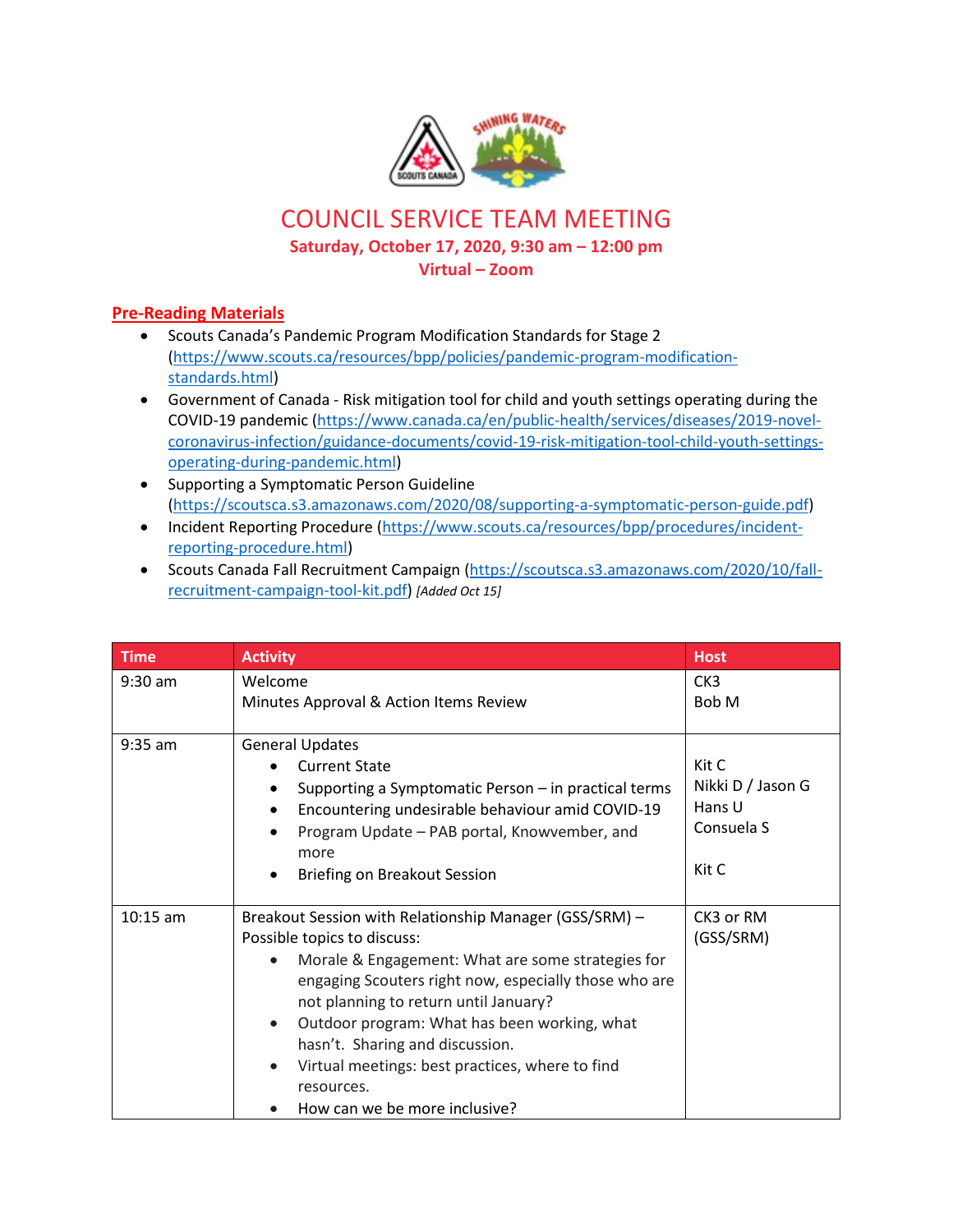

## COUNCIL SERVICE TEAM MEETING **Saturday, October 17, 2020, 9:30 am – 12:00 pm Virtual – Zoom**

## **Pre-Reading Materials**

- Scouts Canada's Pandemic Program Modification Standards for Stage 2 [\(https://www.scouts.ca/resources/bpp/policies/pandemic-program-modification](https://www.scouts.ca/resources/bpp/policies/pandemic-program-modification-standards.html)[standards.html\)](https://www.scouts.ca/resources/bpp/policies/pandemic-program-modification-standards.html)
- Government of Canada Risk mitigation tool for child and youth settings operating during the COVID-19 pandemic [\(https://www.canada.ca/en/public-health/services/diseases/2019-novel](https://www.canada.ca/en/public-health/services/diseases/2019-novel-coronavirus-infection/guidance-documents/covid-19-risk-mitigation-tool-child-youth-settings-operating-during-pandemic.html)[coronavirus-infection/guidance-documents/covid-19-risk-mitigation-tool-child-youth-settings](https://www.canada.ca/en/public-health/services/diseases/2019-novel-coronavirus-infection/guidance-documents/covid-19-risk-mitigation-tool-child-youth-settings-operating-during-pandemic.html)[operating-during-pandemic.html\)](https://www.canada.ca/en/public-health/services/diseases/2019-novel-coronavirus-infection/guidance-documents/covid-19-risk-mitigation-tool-child-youth-settings-operating-during-pandemic.html)
- Supporting a Symptomatic Person Guideline [\(https://scoutsca.s3.amazonaws.com/2020/08/supporting-a-symptomatic-person-guide.pdf\)](https://scoutsca.s3.amazonaws.com/2020/08/supporting-a-symptomatic-person-guide.pdf)
- Incident Reporting Procedure [\(https://www.scouts.ca/resources/bpp/procedures/incident](https://www.scouts.ca/resources/bpp/procedures/incident-reporting-procedure.html)[reporting-procedure.html\)](https://www.scouts.ca/resources/bpp/procedures/incident-reporting-procedure.html)
- Scouts Canada Fall Recruitment Campaign [\(https://scoutsca.s3.amazonaws.com/2020/10/fall](https://scoutsca.s3.amazonaws.com/2020/10/fall-recruitment-campaign-tool-kit.pdf)[recruitment-campaign-tool-kit.pdf\)](https://scoutsca.s3.amazonaws.com/2020/10/fall-recruitment-campaign-tool-kit.pdf) *[Added Oct 15]*

| <b>Time</b> | <b>Activity</b>                                                                                                                                                                                                                                                                                                                                                                                                                                             | <b>Host</b>                                                 |
|-------------|-------------------------------------------------------------------------------------------------------------------------------------------------------------------------------------------------------------------------------------------------------------------------------------------------------------------------------------------------------------------------------------------------------------------------------------------------------------|-------------------------------------------------------------|
| $9:30$ am   | Welcome<br>Minutes Approval & Action Items Review                                                                                                                                                                                                                                                                                                                                                                                                           | CK <sub>3</sub><br>Bob M                                    |
| $9:35$ am   | <b>General Updates</b><br><b>Current State</b><br>Supporting a Symptomatic Person – in practical terms<br>Encountering undesirable behaviour amid COVID-19<br>Program Update - PAB portal, Knowvember, and<br>more<br>Briefing on Breakout Session                                                                                                                                                                                                          | Kit C<br>Nikki D / Jason G<br>Hans U<br>Consuela S<br>Kit C |
| $10:15$ am  | Breakout Session with Relationship Manager (GSS/SRM) -<br>Possible topics to discuss:<br>Morale & Engagement: What are some strategies for<br>$\bullet$<br>engaging Scouters right now, especially those who are<br>not planning to return until January?<br>Outdoor program: What has been working, what<br>$\bullet$<br>hasn't. Sharing and discussion.<br>Virtual meetings: best practices, where to find<br>resources.<br>How can we be more inclusive? | CK3 or RM<br>(GSS/SRM)                                      |